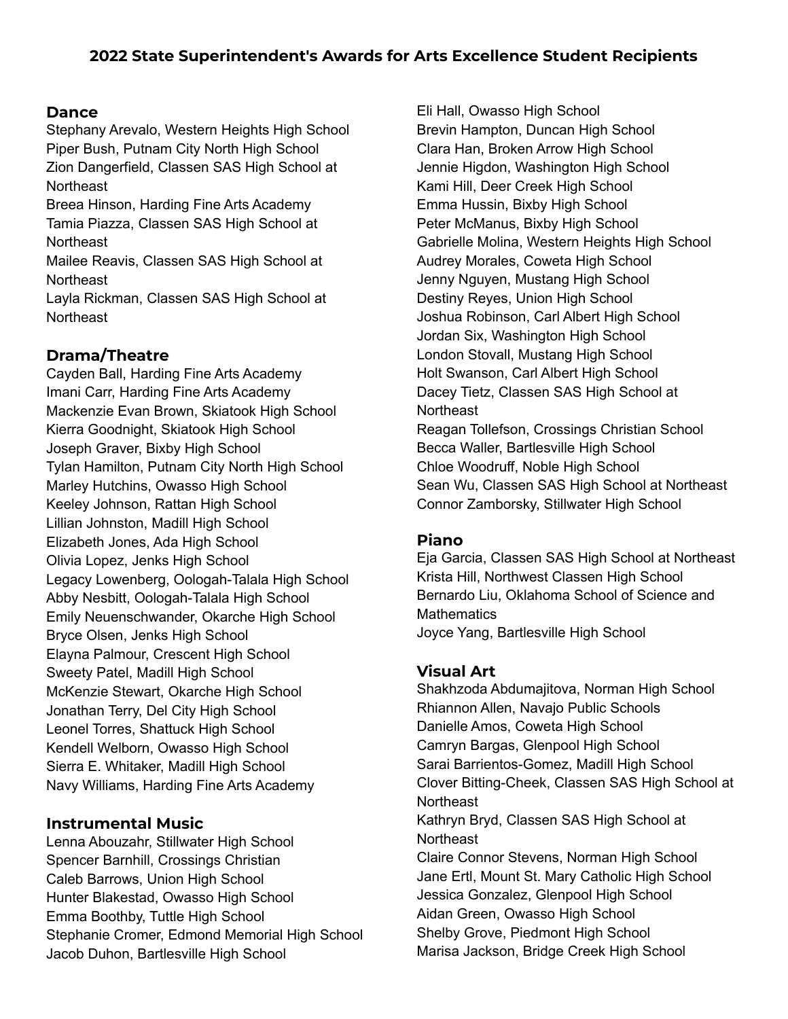### **Dance**

Stephany Arevalo, Western Heights High School Piper Bush, Putnam City North High School Zion Dangerfield, Classen SAS High School at **Northeast** 

Breea Hinson, Harding Fine Arts Academy Tamia Piazza, Classen SAS High School at **Northeast** 

Mailee Reavis, Classen SAS High School at **Northeast** 

Layla Rickman, Classen SAS High School at **Northeast** 

# **Drama/Theatre**

Cayden Ball, Harding Fine Arts Academy Imani Carr, Harding Fine Arts Academy Mackenzie Evan Brown, Skiatook High School Kierra Goodnight, Skiatook High School Joseph Graver, Bixby High School Tylan Hamilton, Putnam City North High School Marley Hutchins, Owasso High School Keeley Johnson, Rattan High School Lillian Johnston, Madill High School Elizabeth Jones, Ada High School Olivia Lopez, Jenks High School Legacy Lowenberg, Oologah-Talala High School Abby Nesbitt, Oologah-Talala High School Emily Neuenschwander, Okarche High School Bryce Olsen, Jenks High School Elayna Palmour, Crescent High School Sweety Patel, Madill High School McKenzie Stewart, Okarche High School Jonathan Terry, Del City High School Leonel Torres, Shattuck High School Kendell Welborn, Owasso High School Sierra E. Whitaker, Madill High School Navy Williams, Harding Fine Arts Academy

### **Instrumental Music**

Lenna Abouzahr, Stillwater High School Spencer Barnhill, Crossings Christian Caleb Barrows, Union High School Hunter Blakestad, Owasso High School Emma Boothby, Tuttle High School Stephanie Cromer, Edmond Memorial High School Jacob Duhon, Bartlesville High School

Eli Hall, Owasso High School Brevin Hampton, Duncan High School Clara Han, Broken Arrow High School Jennie Higdon, Washington High School Kami Hill, Deer Creek High School Emma Hussin, Bixby High School Peter McManus, Bixby High School Gabrielle Molina, Western Heights High School Audrey Morales, Coweta High School Jenny Nguyen, Mustang High School Destiny Reyes, Union High School Joshua Robinson, Carl Albert High School Jordan Six, Washington High School London Stovall, Mustang High School Holt Swanson, Carl Albert High School Dacey Tietz, Classen SAS High School at **Northeast** Reagan Tollefson, Crossings Christian School

Becca Waller, Bartlesville High School Chloe Woodruff, Noble High School Sean Wu, Classen SAS High School at Northeast Connor Zamborsky, Stillwater High School

### **Piano**

Eja Garcia, Classen SAS High School at Northeast Krista Hill, Northwest Classen High School Bernardo Liu, Oklahoma School of Science and **Mathematics** Joyce Yang, Bartlesville High School

## **Visual Art**

Shakhzoda Abdumajitova, Norman High School Rhiannon Allen, Navajo Public Schools Danielle Amos, Coweta High School Camryn Bargas, Glenpool High School Sarai Barrientos-Gomez, Madill High School Clover Bitting-Cheek, Classen SAS High School at **Northeast** Kathryn Bryd, Classen SAS High School at **Northeast** Claire Connor Stevens, Norman High School Jane Ertl, Mount St. Mary Catholic High School Jessica Gonzalez, Glenpool High School Aidan Green, Owasso High School Shelby Grove, Piedmont High School Marisa Jackson, Bridge Creek High School